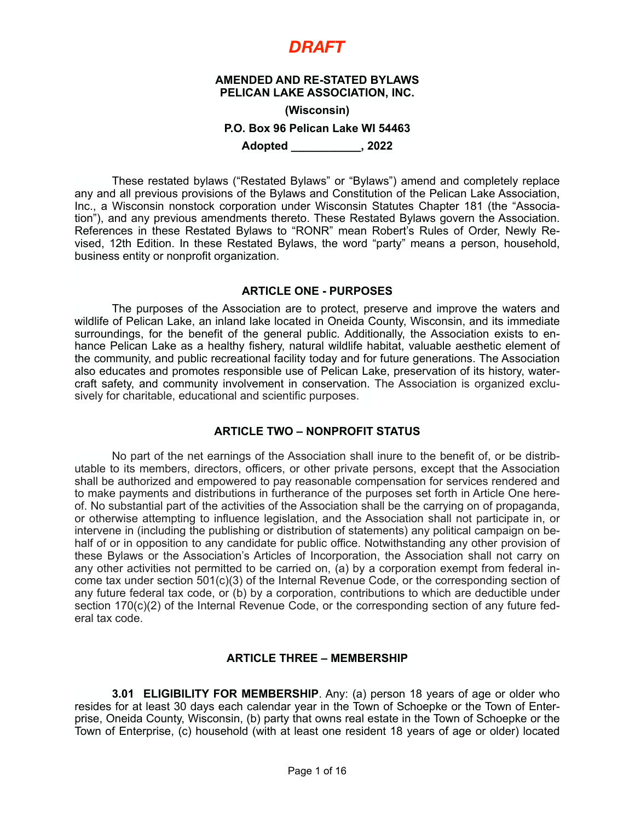#### **AMENDED AND RE-STATED BYLAWS PELICAN LAKE ASSOCIATION, INC.**

**(Wisconsin)**

#### **P.O. Box 96 Pelican Lake WI 54463**

**Adopted \_\_\_\_\_\_\_\_\_\_\_, 2022** 

These restated bylaws ("Restated Bylaws" or "Bylaws") amend and completely replace any and all previous provisions of the Bylaws and Constitution of the Pelican Lake Association, Inc., a Wisconsin nonstock corporation under Wisconsin Statutes Chapter 181 (the "Association"), and any previous amendments thereto. These Restated Bylaws govern the Association. References in these Restated Bylaws to "RONR" mean Robert's Rules of Order, Newly Revised, 12th Edition. In these Restated Bylaws, the word "party" means a person, household, business entity or nonprofit organization.

#### **ARTICLE ONE - PURPOSES**

The purposes of the Association are to protect, preserve and improve the waters and wildlife of Pelican Lake, an inland lake located in Oneida County, Wisconsin, and its immediate surroundings, for the benefit of the general public. Additionally, the Association exists to enhance Pelican Lake as a healthy fishery, natural wildlife habitat, valuable aesthetic element of the community, and public recreational facility today and for future generations. The Association also educates and promotes responsible use of Pelican Lake, preservation of its history, watercraft safety, and community involvement in conservation. The Association is organized exclusively for charitable, educational and scientific purposes.

### **ARTICLE TWO – NONPROFIT STATUS**

No part of the net earnings of the Association shall inure to the benefit of, or be distributable to its members, directors, officers, or other private persons, except that the Association shall be authorized and empowered to pay reasonable compensation for services rendered and to make payments and distributions in furtherance of the purposes set forth in Article One hereof. No substantial part of the activities of the Association shall be the carrying on of propaganda, or otherwise attempting to influence legislation, and the Association shall not participate in, or intervene in (including the publishing or distribution of statements) any political campaign on behalf of or in opposition to any candidate for public office. Notwithstanding any other provision of these Bylaws or the Association's Articles of Incorporation, the Association shall not carry on any other activities not permitted to be carried on, (a) by a corporation exempt from federal income tax under section 501(c)(3) of the Internal Revenue Code, or the corresponding section of any future federal tax code, or (b) by a corporation, contributions to which are deductible under section 170(c)(2) of the Internal Revenue Code, or the corresponding section of any future federal tax code.

### **ARTICLE THREE – MEMBERSHIP**

**3.01 ELIGIBILITY FOR MEMBERSHIP**. Any: (a) person 18 years of age or older who resides for at least 30 days each calendar year in the Town of Schoepke or the Town of Enterprise, Oneida County, Wisconsin, (b) party that owns real estate in the Town of Schoepke or the Town of Enterprise, (c) household (with at least one resident 18 years of age or older) located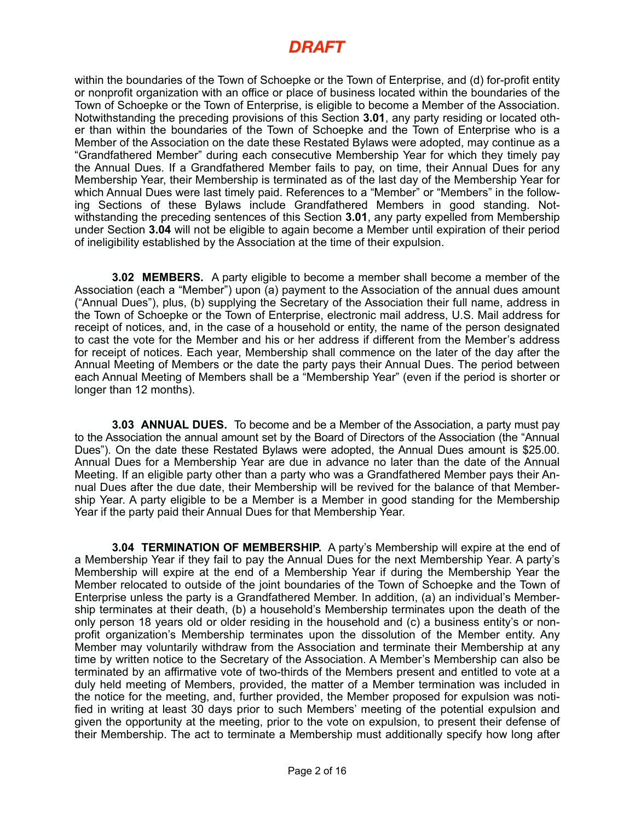within the boundaries of the Town of Schoepke or the Town of Enterprise, and (d) for-profit entity or nonprofit organization with an office or place of business located within the boundaries of the Town of Schoepke or the Town of Enterprise, is eligible to become a Member of the Association. Notwithstanding the preceding provisions of this Section **3.01**, any party residing or located other than within the boundaries of the Town of Schoepke and the Town of Enterprise who is a Member of the Association on the date these Restated Bylaws were adopted, may continue as a "Grandfathered Member" during each consecutive Membership Year for which they timely pay the Annual Dues. If a Grandfathered Member fails to pay, on time, their Annual Dues for any Membership Year, their Membership is terminated as of the last day of the Membership Year for which Annual Dues were last timely paid. References to a "Member" or "Members" in the following Sections of these Bylaws include Grandfathered Members in good standing. Notwithstanding the preceding sentences of this Section **3.01**, any party expelled from Membership under Section **3.04** will not be eligible to again become a Member until expiration of their period of ineligibility established by the Association at the time of their expulsion.

**3.02 MEMBERS.** A party eligible to become a member shall become a member of the Association (each a "Member") upon (a) payment to the Association of the annual dues amount ("Annual Dues"), plus, (b) supplying the Secretary of the Association their full name, address in the Town of Schoepke or the Town of Enterprise, electronic mail address, U.S. Mail address for receipt of notices, and, in the case of a household or entity, the name of the person designated to cast the vote for the Member and his or her address if different from the Member's address for receipt of notices. Each year, Membership shall commence on the later of the day after the Annual Meeting of Members or the date the party pays their Annual Dues. The period between each Annual Meeting of Members shall be a "Membership Year" (even if the period is shorter or longer than 12 months).

**3.03 ANNUAL DUES.** To become and be a Member of the Association, a party must pay to the Association the annual amount set by the Board of Directors of the Association (the "Annual Dues"). On the date these Restated Bylaws were adopted, the Annual Dues amount is \$25.00. Annual Dues for a Membership Year are due in advance no later than the date of the Annual Meeting. If an eligible party other than a party who was a Grandfathered Member pays their Annual Dues after the due date, their Membership will be revived for the balance of that Membership Year. A party eligible to be a Member is a Member in good standing for the Membership Year if the party paid their Annual Dues for that Membership Year.

**3.04 TERMINATION OF MEMBERSHIP.** A party's Membership will expire at the end of a Membership Year if they fail to pay the Annual Dues for the next Membership Year. A party's Membership will expire at the end of a Membership Year if during the Membership Year the Member relocated to outside of the joint boundaries of the Town of Schoepke and the Town of Enterprise unless the party is a Grandfathered Member. In addition, (a) an individual's Membership terminates at their death, (b) a household's Membership terminates upon the death of the only person 18 years old or older residing in the household and (c) a business entity's or nonprofit organization's Membership terminates upon the dissolution of the Member entity. Any Member may voluntarily withdraw from the Association and terminate their Membership at any time by written notice to the Secretary of the Association. A Member's Membership can also be terminated by an affirmative vote of two-thirds of the Members present and entitled to vote at a duly held meeting of Members, provided, the matter of a Member termination was included in the notice for the meeting, and, further provided, the Member proposed for expulsion was notified in writing at least 30 days prior to such Members' meeting of the potential expulsion and given the opportunity at the meeting, prior to the vote on expulsion, to present their defense of their Membership. The act to terminate a Membership must additionally specify how long after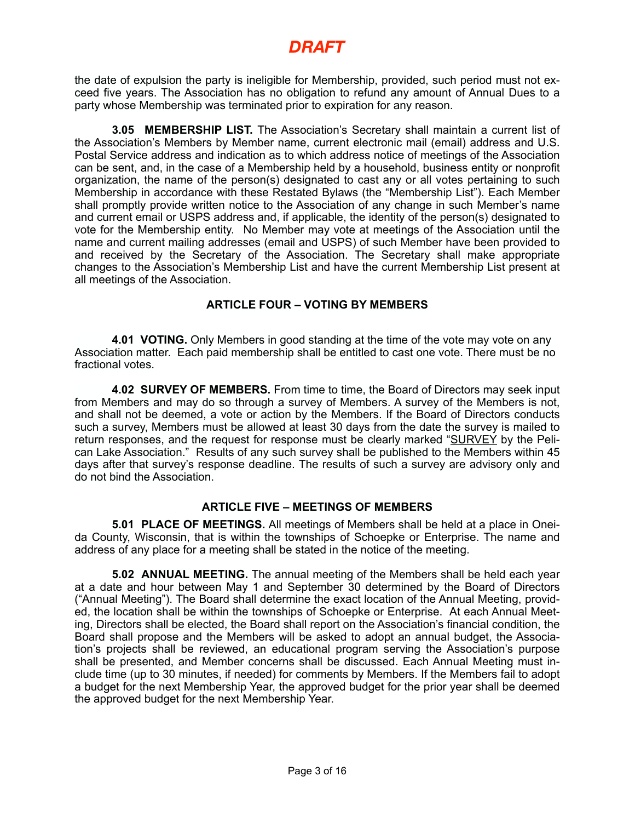the date of expulsion the party is ineligible for Membership, provided, such period must not exceed five years. The Association has no obligation to refund any amount of Annual Dues to a party whose Membership was terminated prior to expiration for any reason.

**3.05 MEMBERSHIP LIST.** The Association's Secretary shall maintain a current list of the Association's Members by Member name, current electronic mail (email) address and U.S. Postal Service address and indication as to which address notice of meetings of the Association can be sent, and, in the case of a Membership held by a household, business entity or nonprofit organization, the name of the person(s) designated to cast any or all votes pertaining to such Membership in accordance with these Restated Bylaws (the "Membership List"). Each Member shall promptly provide written notice to the Association of any change in such Member's name and current email or USPS address and, if applicable, the identity of the person(s) designated to vote for the Membership entity. No Member may vote at meetings of the Association until the name and current mailing addresses (email and USPS) of such Member have been provided to and received by the Secretary of the Association. The Secretary shall make appropriate changes to the Association's Membership List and have the current Membership List present at all meetings of the Association.

### **ARTICLE FOUR – VOTING BY MEMBERS**

**4.01 VOTING.** Only Members in good standing at the time of the vote may vote on any Association matter. Each paid membership shall be entitled to cast one vote. There must be no fractional votes.

**4.02 SURVEY OF MEMBERS.** From time to time, the Board of Directors may seek input from Members and may do so through a survey of Members. A survey of the Members is not, and shall not be deemed, a vote or action by the Members. If the Board of Directors conducts such a survey, Members must be allowed at least 30 days from the date the survey is mailed to return responses, and the request for response must be clearly marked "SURVEY by the Pelican Lake Association." Results of any such survey shall be published to the Members within 45 days after that survey's response deadline. The results of such a survey are advisory only and do not bind the Association.

### **ARTICLE FIVE – MEETINGS OF MEMBERS**

**5.01 PLACE OF MEETINGS.** All meetings of Members shall be held at a place in Oneida County, Wisconsin, that is within the townships of Schoepke or Enterprise. The name and address of any place for a meeting shall be stated in the notice of the meeting.

**5.02 ANNUAL MEETING.** The annual meeting of the Members shall be held each year at a date and hour between May 1 and September 30 determined by the Board of Directors ("Annual Meeting"). The Board shall determine the exact location of the Annual Meeting, provided, the location shall be within the townships of Schoepke or Enterprise. At each Annual Meeting, Directors shall be elected, the Board shall report on the Association's financial condition, the Board shall propose and the Members will be asked to adopt an annual budget, the Association's projects shall be reviewed, an educational program serving the Association's purpose shall be presented, and Member concerns shall be discussed. Each Annual Meeting must include time (up to 30 minutes, if needed) for comments by Members. If the Members fail to adopt a budget for the next Membership Year, the approved budget for the prior year shall be deemed the approved budget for the next Membership Year.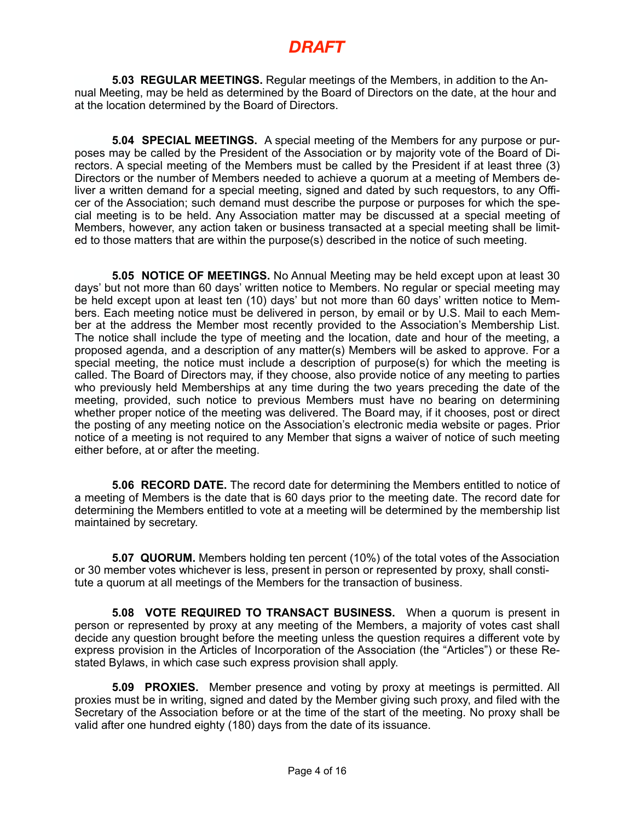**5.03 REGULAR MEETINGS.** Regular meetings of the Members, in addition to the Annual Meeting, may be held as determined by the Board of Directors on the date, at the hour and at the location determined by the Board of Directors.

**5.04 SPECIAL MEETINGS.** A special meeting of the Members for any purpose or purposes may be called by the President of the Association or by majority vote of the Board of Directors. A special meeting of the Members must be called by the President if at least three (3) Directors or the number of Members needed to achieve a quorum at a meeting of Members deliver a written demand for a special meeting, signed and dated by such requestors, to any Officer of the Association; such demand must describe the purpose or purposes for which the special meeting is to be held. Any Association matter may be discussed at a special meeting of Members, however, any action taken or business transacted at a special meeting shall be limited to those matters that are within the purpose(s) described in the notice of such meeting.

**5.05 NOTICE OF MEETINGS.** No Annual Meeting may be held except upon at least 30 days' but not more than 60 days' written notice to Members. No regular or special meeting may be held except upon at least ten (10) days' but not more than 60 days' written notice to Members. Each meeting notice must be delivered in person, by email or by U.S. Mail to each Member at the address the Member most recently provided to the Association's Membership List. The notice shall include the type of meeting and the location, date and hour of the meeting, a proposed agenda, and a description of any matter(s) Members will be asked to approve. For a special meeting, the notice must include a description of purpose(s) for which the meeting is called. The Board of Directors may, if they choose, also provide notice of any meeting to parties who previously held Memberships at any time during the two years preceding the date of the meeting, provided, such notice to previous Members must have no bearing on determining whether proper notice of the meeting was delivered. The Board may, if it chooses, post or direct the posting of any meeting notice on the Association's electronic media website or pages. Prior notice of a meeting is not required to any Member that signs a waiver of notice of such meeting either before, at or after the meeting.

**5.06 RECORD DATE.** The record date for determining the Members entitled to notice of a meeting of Members is the date that is 60 days prior to the meeting date. The record date for determining the Members entitled to vote at a meeting will be determined by the membership list maintained by secretary.

**5.07 QUORUM.** Members holding ten percent (10%) of the total votes of the Association or 30 member votes whichever is less, present in person or represented by proxy, shall constitute a quorum at all meetings of the Members for the transaction of business.

**5.08 VOTE REQUIRED TO TRANSACT BUSINESS.** When a quorum is present in person or represented by proxy at any meeting of the Members, a majority of votes cast shall decide any question brought before the meeting unless the question requires a different vote by express provision in the Articles of Incorporation of the Association (the "Articles") or these Restated Bylaws, in which case such express provision shall apply.

**5.09 PROXIES.** Member presence and voting by proxy at meetings is permitted. All proxies must be in writing, signed and dated by the Member giving such proxy, and filed with the Secretary of the Association before or at the time of the start of the meeting. No proxy shall be valid after one hundred eighty (180) days from the date of its issuance.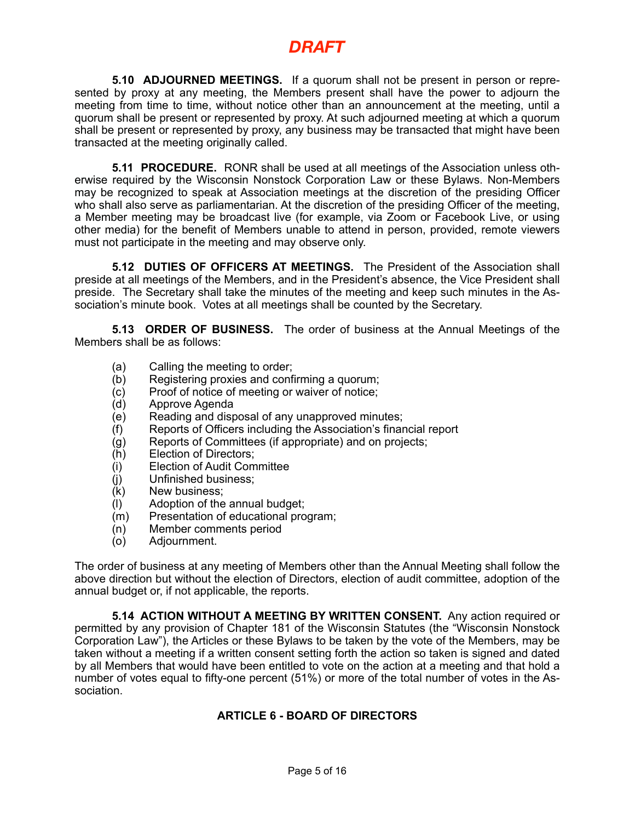**5.10 ADJOURNED MEETINGS.** If a quorum shall not be present in person or represented by proxy at any meeting, the Members present shall have the power to adjourn the meeting from time to time, without notice other than an announcement at the meeting, until a quorum shall be present or represented by proxy. At such adjourned meeting at which a quorum shall be present or represented by proxy, any business may be transacted that might have been transacted at the meeting originally called.

**5.11 PROCEDURE.** RONR shall be used at all meetings of the Association unless otherwise required by the Wisconsin Nonstock Corporation Law or these Bylaws. Non-Members may be recognized to speak at Association meetings at the discretion of the presiding Officer who shall also serve as parliamentarian. At the discretion of the presiding Officer of the meeting, a Member meeting may be broadcast live (for example, via Zoom or Facebook Live, or using other media) for the benefit of Members unable to attend in person, provided, remote viewers must not participate in the meeting and may observe only.

**5.12 DUTIES OF OFFICERS AT MEETINGS.** The President of the Association shall preside at all meetings of the Members, and in the President's absence, the Vice President shall preside. The Secretary shall take the minutes of the meeting and keep such minutes in the Association's minute book. Votes at all meetings shall be counted by the Secretary.

**5.13 ORDER OF BUSINESS.** The order of business at the Annual Meetings of the Members shall be as follows:

- (a) Calling the meeting to order;
- (b) Registering proxies and confirming a quorum;
- (c) Proof of notice of meeting or waiver of notice;
- (d) Approve Agenda
- (e) Reading and disposal of any unapproved minutes;
- (f) Reports of Officers including the Association's financial report
- (g) Reports of Committees (if appropriate) and on projects;<br>(h) Election of Directors;
- Election of Directors:
- (i) Election of Audit Committee
- (j) Unfinished business;
- (k) New business;
- (l) Adoption of the annual budget;
- (m) Presentation of educational program;
- (n) Member comments period
- (o) Adjournment.

The order of business at any meeting of Members other than the Annual Meeting shall follow the above direction but without the election of Directors, election of audit committee, adoption of the annual budget or, if not applicable, the reports.

**5.14 ACTION WITHOUT A MEETING BY WRITTEN CONSENT.** Any action required or permitted by any provision of Chapter 181 of the Wisconsin Statutes (the "Wisconsin Nonstock Corporation Law"), the Articles or these Bylaws to be taken by the vote of the Members, may be taken without a meeting if a written consent setting forth the action so taken is signed and dated by all Members that would have been entitled to vote on the action at a meeting and that hold a number of votes equal to fifty-one percent (51%) or more of the total number of votes in the Association.

### **ARTICLE 6 - BOARD OF DIRECTORS**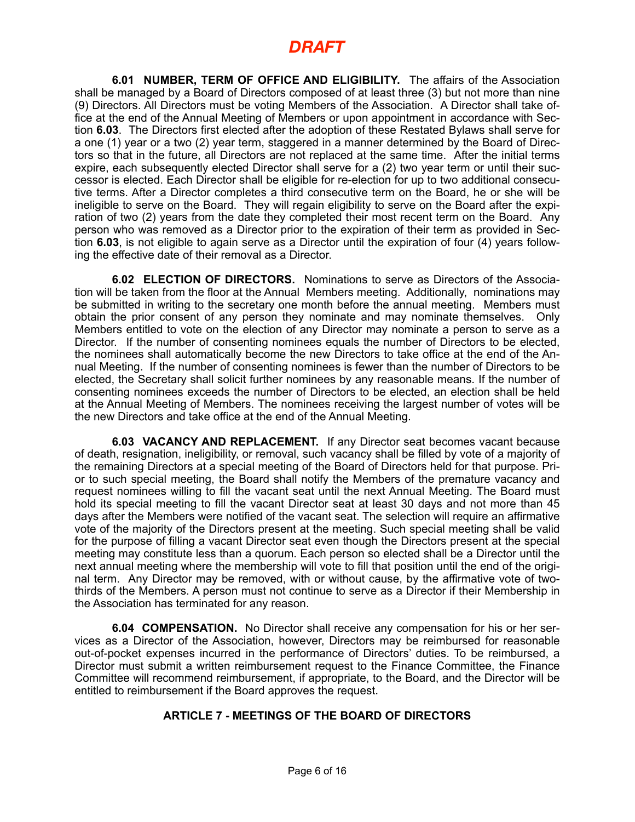**6.01 NUMBER, TERM OF OFFICE AND ELIGIBILITY.** The affairs of the Association shall be managed by a Board of Directors composed of at least three (3) but not more than nine (9) Directors. All Directors must be voting Members of the Association. A Director shall take office at the end of the Annual Meeting of Members or upon appointment in accordance with Section **6.03**. The Directors first elected after the adoption of these Restated Bylaws shall serve for a one (1) year or a two (2) year term, staggered in a manner determined by the Board of Directors so that in the future, all Directors are not replaced at the same time. After the initial terms expire, each subsequently elected Director shall serve for a (2) two year term or until their successor is elected. Each Director shall be eligible for re-election for up to two additional consecutive terms. After a Director completes a third consecutive term on the Board, he or she will be ineligible to serve on the Board. They will regain eligibility to serve on the Board after the expiration of two (2) years from the date they completed their most recent term on the Board. Any person who was removed as a Director prior to the expiration of their term as provided in Section **6.03**, is not eligible to again serve as a Director until the expiration of four (4) years following the effective date of their removal as a Director.

**6.02 ELECTION OF DIRECTORS.** Nominations to serve as Directors of the Association will be taken from the floor at the Annual Members meeting. Additionally, nominations may be submitted in writing to the secretary one month before the annual meeting. Members must obtain the prior consent of any person they nominate and may nominate themselves. Only Members entitled to vote on the election of any Director may nominate a person to serve as a Director. If the number of consenting nominees equals the number of Directors to be elected, the nominees shall automatically become the new Directors to take office at the end of the Annual Meeting. If the number of consenting nominees is fewer than the number of Directors to be elected, the Secretary shall solicit further nominees by any reasonable means. If the number of consenting nominees exceeds the number of Directors to be elected, an election shall be held at the Annual Meeting of Members. The nominees receiving the largest number of votes will be the new Directors and take office at the end of the Annual Meeting.

**6.03 VACANCY AND REPLACEMENT.** If any Director seat becomes vacant because of death, resignation, ineligibility, or removal, such vacancy shall be filled by vote of a majority of the remaining Directors at a special meeting of the Board of Directors held for that purpose. Prior to such special meeting, the Board shall notify the Members of the premature vacancy and request nominees willing to fill the vacant seat until the next Annual Meeting. The Board must hold its special meeting to fill the vacant Director seat at least 30 days and not more than 45 days after the Members were notified of the vacant seat. The selection will require an affirmative vote of the majority of the Directors present at the meeting. Such special meeting shall be valid for the purpose of filling a vacant Director seat even though the Directors present at the special meeting may constitute less than a quorum. Each person so elected shall be a Director until the next annual meeting where the membership will vote to fill that position until the end of the original term. Any Director may be removed, with or without cause, by the affirmative vote of twothirds of the Members. A person must not continue to serve as a Director if their Membership in the Association has terminated for any reason.

**6.04 COMPENSATION.** No Director shall receive any compensation for his or her services as a Director of the Association, however, Directors may be reimbursed for reasonable out-of-pocket expenses incurred in the performance of Directors' duties. To be reimbursed, a Director must submit a written reimbursement request to the Finance Committee, the Finance Committee will recommend reimbursement, if appropriate, to the Board, and the Director will be entitled to reimbursement if the Board approves the request.

### **ARTICLE 7 - MEETINGS OF THE BOARD OF DIRECTORS**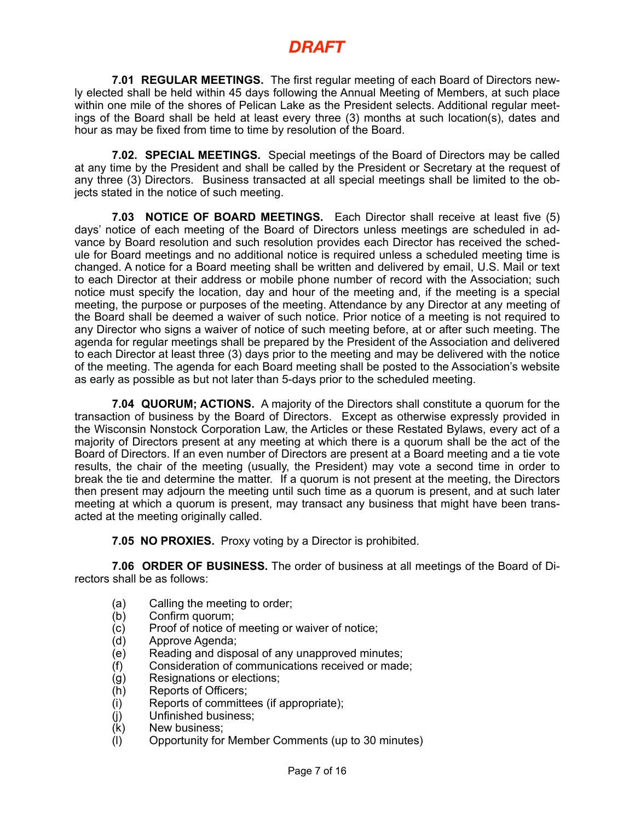**7.01 REGULAR MEETINGS.** The first regular meeting of each Board of Directors newly elected shall be held within 45 days following the Annual Meeting of Members, at such place within one mile of the shores of Pelican Lake as the President selects. Additional regular meetings of the Board shall be held at least every three (3) months at such location(s), dates and hour as may be fixed from time to time by resolution of the Board.

**7.02. SPECIAL MEETINGS.** Special meetings of the Board of Directors may be called at any time by the President and shall be called by the President or Secretary at the request of any three (3) Directors. Business transacted at all special meetings shall be limited to the objects stated in the notice of such meeting.

**7.03 NOTICE OF BOARD MEETINGS.** Each Director shall receive at least five (5) days' notice of each meeting of the Board of Directors unless meetings are scheduled in advance by Board resolution and such resolution provides each Director has received the schedule for Board meetings and no additional notice is required unless a scheduled meeting time is changed. A notice for a Board meeting shall be written and delivered by email, U.S. Mail or text to each Director at their address or mobile phone number of record with the Association; such notice must specify the location, day and hour of the meeting and, if the meeting is a special meeting, the purpose or purposes of the meeting. Attendance by any Director at any meeting of the Board shall be deemed a waiver of such notice. Prior notice of a meeting is not required to any Director who signs a waiver of notice of such meeting before, at or after such meeting. The agenda for regular meetings shall be prepared by the President of the Association and delivered to each Director at least three (3) days prior to the meeting and may be delivered with the notice of the meeting. The agenda for each Board meeting shall be posted to the Association's website as early as possible as but not later than 5-days prior to the scheduled meeting.

**7.04 QUORUM; ACTIONS.** A majority of the Directors shall constitute a quorum for the transaction of business by the Board of Directors. Except as otherwise expressly provided in the Wisconsin Nonstock Corporation Law, the Articles or these Restated Bylaws, every act of a majority of Directors present at any meeting at which there is a quorum shall be the act of the Board of Directors. If an even number of Directors are present at a Board meeting and a tie vote results, the chair of the meeting (usually, the President) may vote a second time in order to break the tie and determine the matter. If a quorum is not present at the meeting, the Directors then present may adjourn the meeting until such time as a quorum is present, and at such later meeting at which a quorum is present, may transact any business that might have been transacted at the meeting originally called.

**7.05 NO PROXIES.** Proxy voting by a Director is prohibited.

**7.06 ORDER OF BUSINESS.** The order of business at all meetings of the Board of Directors shall be as follows:

- (a) Calling the meeting to order;<br>(b) Confirm quorum;
- (b) Confirm quorum;<br>(c) Proof of notice of
- (c) Proof of notice of meeting or waiver of notice;<br>(d) Approve Agenda;
- Approve Agenda:
- (e) Reading and disposal of any unapproved minutes;
- (f) Consideration of communications received or made;
- (g) Resignations or elections;
- 
- (h) Reports of Officers;<br>(i) Reports of committe Reports of committees (if appropriate);
- (j) Unfinished business;<br>(k) New business;
- New business:
- (l) Opportunity for Member Comments (up to 30 minutes)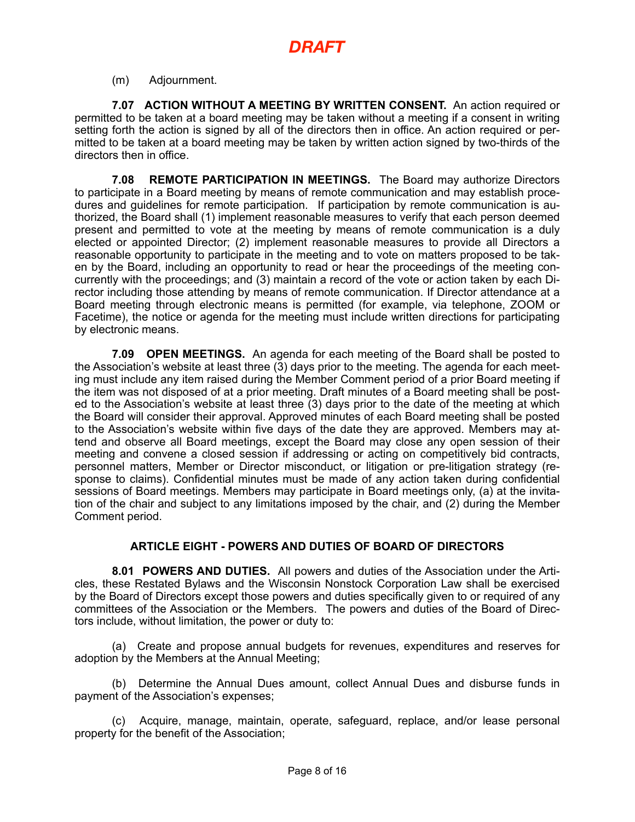(m) Adjournment.

**7.07 ACTION WITHOUT A MEETING BY WRITTEN CONSENT.** An action required or permitted to be taken at a board meeting may be taken without a meeting if a consent in writing setting forth the action is signed by all of the directors then in office. An action required or permitted to be taken at a board meeting may be taken by written action signed by two-thirds of the directors then in office.

**7.08 REMOTE PARTICIPATION IN MEETINGS.** The Board may authorize Directors to participate in a Board meeting by means of remote communication and may establish procedures and guidelines for remote participation. If participation by remote communication is authorized, the Board shall (1) implement reasonable measures to verify that each person deemed present and permitted to vote at the meeting by means of remote communication is a duly elected or appointed Director; (2) implement reasonable measures to provide all Directors a reasonable opportunity to participate in the meeting and to vote on matters proposed to be taken by the Board, including an opportunity to read or hear the proceedings of the meeting concurrently with the proceedings; and (3) maintain a record of the vote or action taken by each Director including those attending by means of remote communication. If Director attendance at a Board meeting through electronic means is permitted (for example, via telephone, ZOOM or Facetime), the notice or agenda for the meeting must include written directions for participating by electronic means.

**7.09 OPEN MEETINGS.** An agenda for each meeting of the Board shall be posted to the Association's website at least three (3) days prior to the meeting. The agenda for each meeting must include any item raised during the Member Comment period of a prior Board meeting if the item was not disposed of at a prior meeting. Draft minutes of a Board meeting shall be posted to the Association's website at least three (3) days prior to the date of the meeting at which the Board will consider their approval. Approved minutes of each Board meeting shall be posted to the Association's website within five days of the date they are approved. Members may attend and observe all Board meetings, except the Board may close any open session of their meeting and convene a closed session if addressing or acting on competitively bid contracts, personnel matters, Member or Director misconduct, or litigation or pre-litigation strategy (response to claims). Confidential minutes must be made of any action taken during confidential sessions of Board meetings. Members may participate in Board meetings only, (a) at the invitation of the chair and subject to any limitations imposed by the chair, and (2) during the Member Comment period.

### **ARTICLE EIGHT - POWERS AND DUTIES OF BOARD OF DIRECTORS**

**8.01 POWERS AND DUTIES.** All powers and duties of the Association under the Articles, these Restated Bylaws and the Wisconsin Nonstock Corporation Law shall be exercised by the Board of Directors except those powers and duties specifically given to or required of any committees of the Association or the Members. The powers and duties of the Board of Directors include, without limitation, the power or duty to:

(a) Create and propose annual budgets for revenues, expenditures and reserves for adoption by the Members at the Annual Meeting;

(b) Determine the Annual Dues amount, collect Annual Dues and disburse funds in payment of the Association's expenses;

(c) Acquire, manage, maintain, operate, safeguard, replace, and/or lease personal property for the benefit of the Association;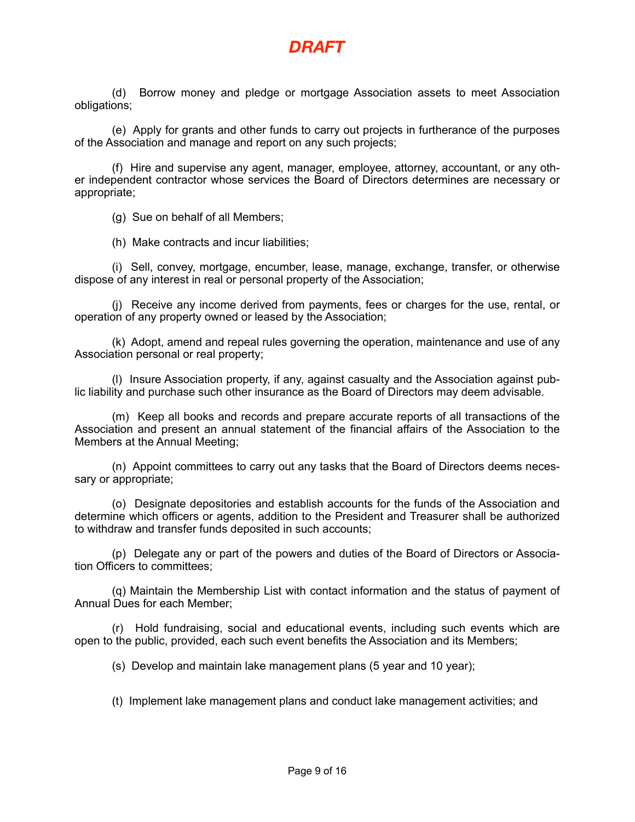

(d) Borrow money and pledge or mortgage Association assets to meet Association obligations;

(e) Apply for grants and other funds to carry out projects in furtherance of the purposes of the Association and manage and report on any such projects;

(f) Hire and supervise any agent, manager, employee, attorney, accountant, or any other independent contractor whose services the Board of Directors determines are necessary or appropriate;

(g) Sue on behalf of all Members;

(h) Make contracts and incur liabilities;

(i) Sell, convey, mortgage, encumber, lease, manage, exchange, transfer, or otherwise dispose of any interest in real or personal property of the Association;

(j) Receive any income derived from payments, fees or charges for the use, rental, or operation of any property owned or leased by the Association;

(k) Adopt, amend and repeal rules governing the operation, maintenance and use of any Association personal or real property;

(l) Insure Association property, if any, against casualty and the Association against public liability and purchase such other insurance as the Board of Directors may deem advisable.

(m) Keep all books and records and prepare accurate reports of all transactions of the Association and present an annual statement of the financial affairs of the Association to the Members at the Annual Meeting;

(n) Appoint committees to carry out any tasks that the Board of Directors deems necessary or appropriate;

(o) Designate depositories and establish accounts for the funds of the Association and determine which officers or agents, addition to the President and Treasurer shall be authorized to withdraw and transfer funds deposited in such accounts;

(p) Delegate any or part of the powers and duties of the Board of Directors or Association Officers to committees;

(q) Maintain the Membership List with contact information and the status of payment of Annual Dues for each Member;

(r) Hold fundraising, social and educational events, including such events which are open to the public, provided, each such event benefits the Association and its Members;

(s) Develop and maintain lake management plans (5 year and 10 year);

(t) Implement lake management plans and conduct lake management activities; and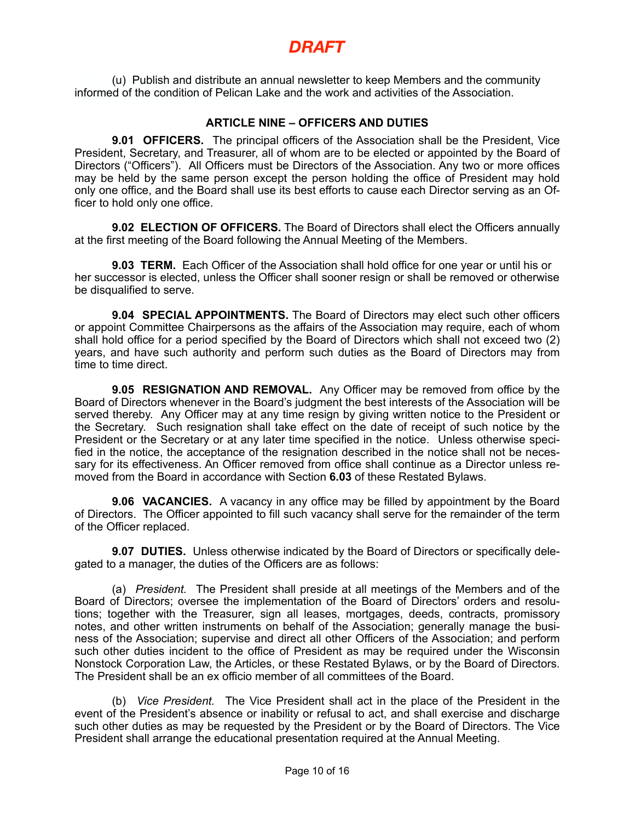(u) Publish and distribute an annual newsletter to keep Members and the community informed of the condition of Pelican Lake and the work and activities of the Association.

### **ARTICLE NINE – OFFICERS AND DUTIES**

**9.01 OFFICERS.** The principal officers of the Association shall be the President, Vice President, Secretary, and Treasurer, all of whom are to be elected or appointed by the Board of Directors ("Officers"). All Officers must be Directors of the Association. Any two or more offices may be held by the same person except the person holding the office of President may hold only one office, and the Board shall use its best efforts to cause each Director serving as an Officer to hold only one office.

**9.02 ELECTION OF OFFICERS.** The Board of Directors shall elect the Officers annually at the first meeting of the Board following the Annual Meeting of the Members.

**9.03 TERM.** Each Officer of the Association shall hold office for one year or until his or her successor is elected, unless the Officer shall sooner resign or shall be removed or otherwise be disqualified to serve.

**9.04 SPECIAL APPOINTMENTS.** The Board of Directors may elect such other officers or appoint Committee Chairpersons as the affairs of the Association may require, each of whom shall hold office for a period specified by the Board of Directors which shall not exceed two (2) years, and have such authority and perform such duties as the Board of Directors may from time to time direct.

**9.05 RESIGNATION AND REMOVAL.** Any Officer may be removed from office by the Board of Directors whenever in the Board's judgment the best interests of the Association will be served thereby. Any Officer may at any time resign by giving written notice to the President or the Secretary. Such resignation shall take effect on the date of receipt of such notice by the President or the Secretary or at any later time specified in the notice. Unless otherwise specified in the notice, the acceptance of the resignation described in the notice shall not be necessary for its effectiveness. An Officer removed from office shall continue as a Director unless removed from the Board in accordance with Section **6.03** of these Restated Bylaws.

**9.06 VACANCIES.** A vacancy in any office may be filled by appointment by the Board of Directors. The Officer appointed to fill such vacancy shall serve for the remainder of the term of the Officer replaced.

**9.07 DUTIES.** Unless otherwise indicated by the Board of Directors or specifically delegated to a manager, the duties of the Officers are as follows:

(a) *President.* The President shall preside at all meetings of the Members and of the Board of Directors; oversee the implementation of the Board of Directors' orders and resolutions; together with the Treasurer, sign all leases, mortgages, deeds, contracts, promissory notes, and other written instruments on behalf of the Association; generally manage the business of the Association; supervise and direct all other Officers of the Association; and perform such other duties incident to the office of President as may be required under the Wisconsin Nonstock Corporation Law, the Articles, or these Restated Bylaws, or by the Board of Directors. The President shall be an ex officio member of all committees of the Board.

(b) *Vice President.* The Vice President shall act in the place of the President in the event of the President's absence or inability or refusal to act, and shall exercise and discharge such other duties as may be requested by the President or by the Board of Directors. The Vice President shall arrange the educational presentation required at the Annual Meeting.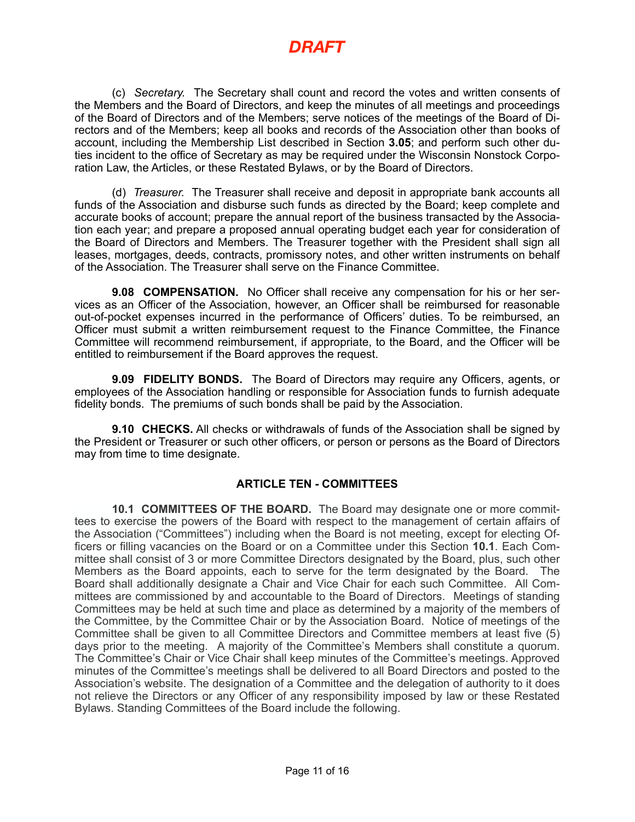(c) *Secretary.* The Secretary shall count and record the votes and written consents of the Members and the Board of Directors, and keep the minutes of all meetings and proceedings of the Board of Directors and of the Members; serve notices of the meetings of the Board of Directors and of the Members; keep all books and records of the Association other than books of account, including the Membership List described in Section **3.05**; and perform such other duties incident to the office of Secretary as may be required under the Wisconsin Nonstock Corporation Law, the Articles, or these Restated Bylaws, or by the Board of Directors.

(d) *Treasurer.* The Treasurer shall receive and deposit in appropriate bank accounts all funds of the Association and disburse such funds as directed by the Board; keep complete and accurate books of account; prepare the annual report of the business transacted by the Association each year; and prepare a proposed annual operating budget each year for consideration of the Board of Directors and Members. The Treasurer together with the President shall sign all leases, mortgages, deeds, contracts, promissory notes, and other written instruments on behalf of the Association. The Treasurer shall serve on the Finance Committee.

**9.08 COMPENSATION.** No Officer shall receive any compensation for his or her services as an Officer of the Association, however, an Officer shall be reimbursed for reasonable out-of-pocket expenses incurred in the performance of Officers' duties. To be reimbursed, an Officer must submit a written reimbursement request to the Finance Committee, the Finance Committee will recommend reimbursement, if appropriate, to the Board, and the Officer will be entitled to reimbursement if the Board approves the request.

**9.09 FIDELITY BONDS.** The Board of Directors may require any Officers, agents, or employees of the Association handling or responsible for Association funds to furnish adequate fidelity bonds. The premiums of such bonds shall be paid by the Association.

**9.10 CHECKS.** All checks or withdrawals of funds of the Association shall be signed by the President or Treasurer or such other officers, or person or persons as the Board of Directors may from time to time designate.

### **ARTICLE TEN - COMMITTEES**

**10.1 COMMITTEES OF THE BOARD.** The Board may designate one or more committees to exercise the powers of the Board with respect to the management of certain affairs of the Association ("Committees") including when the Board is not meeting, except for electing Officers or filling vacancies on the Board or on a Committee under this Section **10.1**. Each Committee shall consist of 3 or more Committee Directors designated by the Board, plus, such other Members as the Board appoints, each to serve for the term designated by the Board. The Board shall additionally designate a Chair and Vice Chair for each such Committee. All Committees are commissioned by and accountable to the Board of Directors. Meetings of standing Committees may be held at such time and place as determined by a majority of the members of the Committee, by the Committee Chair or by the Association Board. Notice of meetings of the Committee shall be given to all Committee Directors and Committee members at least five (5) days prior to the meeting. A majority of the Committee's Members shall constitute a quorum. The Committee's Chair or Vice Chair shall keep minutes of the Committee's meetings. Approved minutes of the Committee's meetings shall be delivered to all Board Directors and posted to the Association's website. The designation of a Committee and the delegation of authority to it does not relieve the Directors or any Officer of any responsibility imposed by law or these Restated Bylaws. Standing Committees of the Board include the following.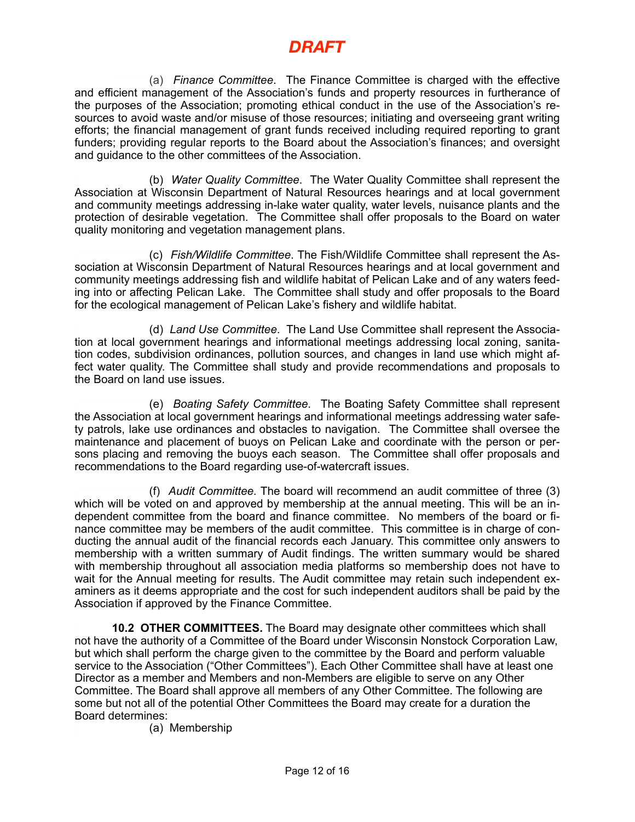(a) *Finance Committee*. The Finance Committee is charged with the effective and efficient management of the Association's funds and property resources in furtherance of the purposes of the Association; promoting ethical conduct in the use of the Association's resources to avoid waste and/or misuse of those resources; initiating and overseeing grant writing efforts; the financial management of grant funds received including required reporting to grant funders; providing regular reports to the Board about the Association's finances; and oversight and guidance to the other committees of the Association.

(b) *Water Quality Committee*. The Water Quality Committee shall represent the Association at Wisconsin Department of Natural Resources hearings and at local government and community meetings addressing in-lake water quality, water levels, nuisance plants and the protection of desirable vegetation. The Committee shall offer proposals to the Board on water quality monitoring and vegetation management plans.

(c) *Fish/Wildlife Committee*. The Fish/Wildlife Committee shall represent the Association at Wisconsin Department of Natural Resources hearings and at local government and community meetings addressing fish and wildlife habitat of Pelican Lake and of any waters feeding into or affecting Pelican Lake. The Committee shall study and offer proposals to the Board for the ecological management of Pelican Lake's fishery and wildlife habitat.

(d) *Land Use Committee*. The Land Use Committee shall represent the Association at local government hearings and informational meetings addressing local zoning, sanitation codes, subdivision ordinances, pollution sources, and changes in land use which might affect water quality. The Committee shall study and provide recommendations and proposals to the Board on land use issues.

(e) *Boating Safety Committee*. The Boating Safety Committee shall represent the Association at local government hearings and informational meetings addressing water safety patrols, lake use ordinances and obstacles to navigation. The Committee shall oversee the maintenance and placement of buoys on Pelican Lake and coordinate with the person or persons placing and removing the buoys each season. The Committee shall offer proposals and recommendations to the Board regarding use-of-watercraft issues.

(f) *Audit Committee.* The board will recommend an audit committee of three (3) which will be voted on and approved by membership at the annual meeting. This will be an independent committee from the board and finance committee. No members of the board or finance committee may be members of the audit committee. This committee is in charge of conducting the annual audit of the financial records each January. This committee only answers to membership with a written summary of Audit findings. The written summary would be shared with membership throughout all association media platforms so membership does not have to wait for the Annual meeting for results. The Audit committee may retain such independent examiners as it deems appropriate and the cost for such independent auditors shall be paid by the Association if approved by the Finance Committee.

**10.2 OTHER COMMITTEES.** The Board may designate other committees which shall not have the authority of a Committee of the Board under Wisconsin Nonstock Corporation Law, but which shall perform the charge given to the committee by the Board and perform valuable service to the Association ("Other Committees"). Each Other Committee shall have at least one Director as a member and Members and non-Members are eligible to serve on any Other Committee. The Board shall approve all members of any Other Committee. The following are some but not all of the potential Other Committees the Board may create for a duration the Board determines:

(a) Membership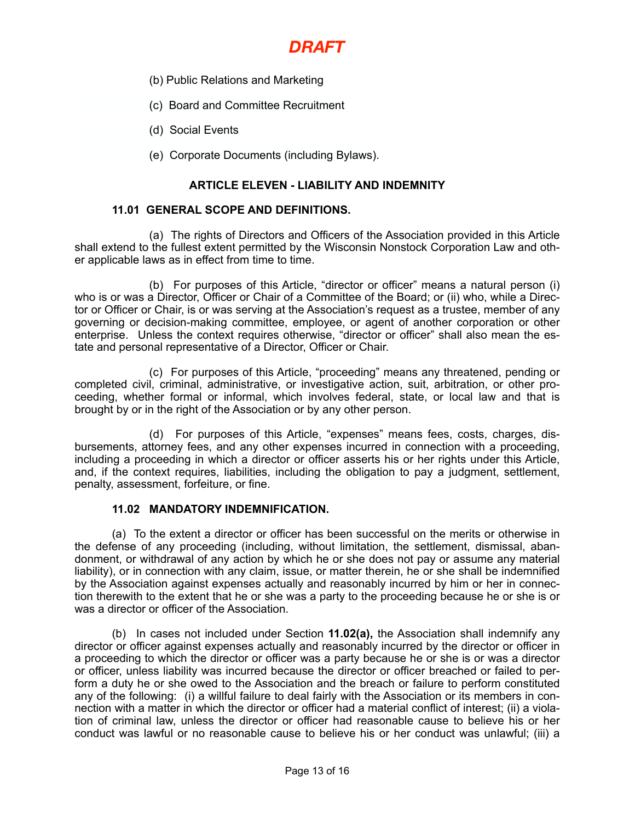- (b) Public Relations and Marketing
- (c) Board and Committee Recruitment
- (d) Social Events
- (e) Corporate Documents (including Bylaws).

#### **ARTICLE ELEVEN - LIABILITY AND INDEMNITY**

#### **11.01 GENERAL SCOPE AND DEFINITIONS.**

(a) The rights of Directors and Officers of the Association provided in this Article shall extend to the fullest extent permitted by the Wisconsin Nonstock Corporation Law and other applicable laws as in effect from time to time.

(b) For purposes of this Article, "director or officer" means a natural person (i) who is or was a Director, Officer or Chair of a Committee of the Board; or (ii) who, while a Director or Officer or Chair, is or was serving at the Association's request as a trustee, member of any governing or decision-making committee, employee, or agent of another corporation or other enterprise. Unless the context requires otherwise, "director or officer" shall also mean the estate and personal representative of a Director, Officer or Chair.

(c) For purposes of this Article, "proceeding" means any threatened, pending or completed civil, criminal, administrative, or investigative action, suit, arbitration, or other proceeding, whether formal or informal, which involves federal, state, or local law and that is brought by or in the right of the Association or by any other person.

(d) For purposes of this Article, "expenses" means fees, costs, charges, disbursements, attorney fees, and any other expenses incurred in connection with a proceeding, including a proceeding in which a director or officer asserts his or her rights under this Article, and, if the context requires, liabilities, including the obligation to pay a judgment, settlement, penalty, assessment, forfeiture, or fine.

#### **11.02 MANDATORY INDEMNIFICATION.**

(a) To the extent a director or officer has been successful on the merits or otherwise in the defense of any proceeding (including, without limitation, the settlement, dismissal, abandonment, or withdrawal of any action by which he or she does not pay or assume any material liability), or in connection with any claim, issue, or matter therein, he or she shall be indemnified by the Association against expenses actually and reasonably incurred by him or her in connection therewith to the extent that he or she was a party to the proceeding because he or she is or was a director or officer of the Association.

(b) In cases not included under Section **11.02(a),** the Association shall indemnify any director or officer against expenses actually and reasonably incurred by the director or officer in a proceeding to which the director or officer was a party because he or she is or was a director or officer, unless liability was incurred because the director or officer breached or failed to perform a duty he or she owed to the Association and the breach or failure to perform constituted any of the following: (i) a willful failure to deal fairly with the Association or its members in connection with a matter in which the director or officer had a material conflict of interest; (ii) a violation of criminal law, unless the director or officer had reasonable cause to believe his or her conduct was lawful or no reasonable cause to believe his or her conduct was unlawful; (iii) a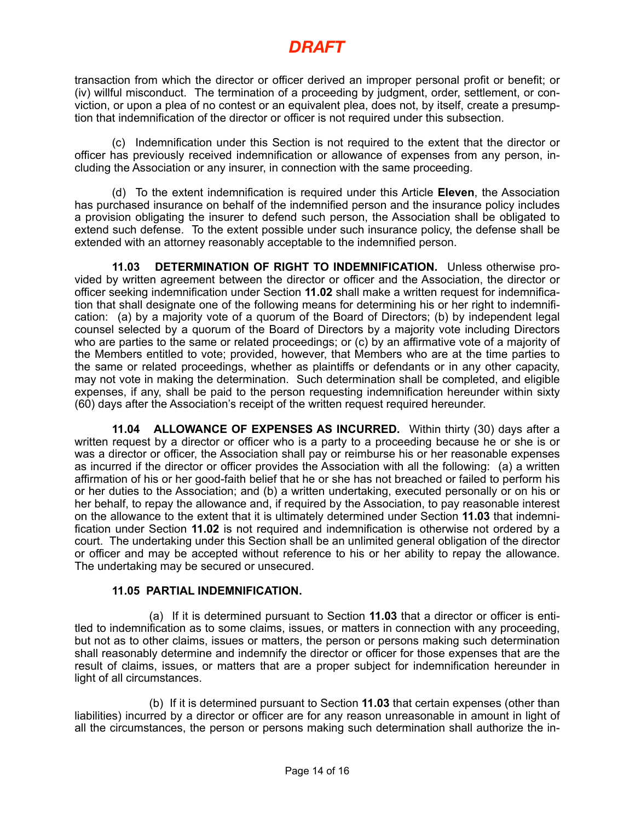transaction from which the director or officer derived an improper personal profit or benefit; or (iv) willful misconduct. The termination of a proceeding by judgment, order, settlement, or conviction, or upon a plea of no contest or an equivalent plea, does not, by itself, create a presumption that indemnification of the director or officer is not required under this subsection.

(c) Indemnification under this Section is not required to the extent that the director or officer has previously received indemnification or allowance of expenses from any person, including the Association or any insurer, in connection with the same proceeding.

(d) To the extent indemnification is required under this Article **Eleven**, the Association has purchased insurance on behalf of the indemnified person and the insurance policy includes a provision obligating the insurer to defend such person, the Association shall be obligated to extend such defense. To the extent possible under such insurance policy, the defense shall be extended with an attorney reasonably acceptable to the indemnified person.

**11.03 DETERMINATION OF RIGHT TO INDEMNIFICATION.** Unless otherwise provided by written agreement between the director or officer and the Association, the director or officer seeking indemnification under Section **11.02** shall make a written request for indemnification that shall designate one of the following means for determining his or her right to indemnification: (a) by a majority vote of a quorum of the Board of Directors; (b) by independent legal counsel selected by a quorum of the Board of Directors by a majority vote including Directors who are parties to the same or related proceedings; or (c) by an affirmative vote of a majority of the Members entitled to vote; provided, however, that Members who are at the time parties to the same or related proceedings, whether as plaintiffs or defendants or in any other capacity, may not vote in making the determination. Such determination shall be completed, and eligible expenses, if any, shall be paid to the person requesting indemnification hereunder within sixty (60) days after the Association's receipt of the written request required hereunder.

**11.04 ALLOWANCE OF EXPENSES AS INCURRED.** Within thirty (30) days after a written request by a director or officer who is a party to a proceeding because he or she is or was a director or officer, the Association shall pay or reimburse his or her reasonable expenses as incurred if the director or officer provides the Association with all the following: (a) a written affirmation of his or her good-faith belief that he or she has not breached or failed to perform his or her duties to the Association; and (b) a written undertaking, executed personally or on his or her behalf, to repay the allowance and, if required by the Association, to pay reasonable interest on the allowance to the extent that it is ultimately determined under Section **11.03** that indemnification under Section **11.02** is not required and indemnification is otherwise not ordered by a court. The undertaking under this Section shall be an unlimited general obligation of the director or officer and may be accepted without reference to his or her ability to repay the allowance. The undertaking may be secured or unsecured.

### **11.05 PARTIAL INDEMNIFICATION.**

(a) If it is determined pursuant to Section **11.03** that a director or officer is entitled to indemnification as to some claims, issues, or matters in connection with any proceeding, but not as to other claims, issues or matters, the person or persons making such determination shall reasonably determine and indemnify the director or officer for those expenses that are the result of claims, issues, or matters that are a proper subject for indemnification hereunder in light of all circumstances.

(b) If it is determined pursuant to Section **11.03** that certain expenses (other than liabilities) incurred by a director or officer are for any reason unreasonable in amount in light of all the circumstances, the person or persons making such determination shall authorize the in-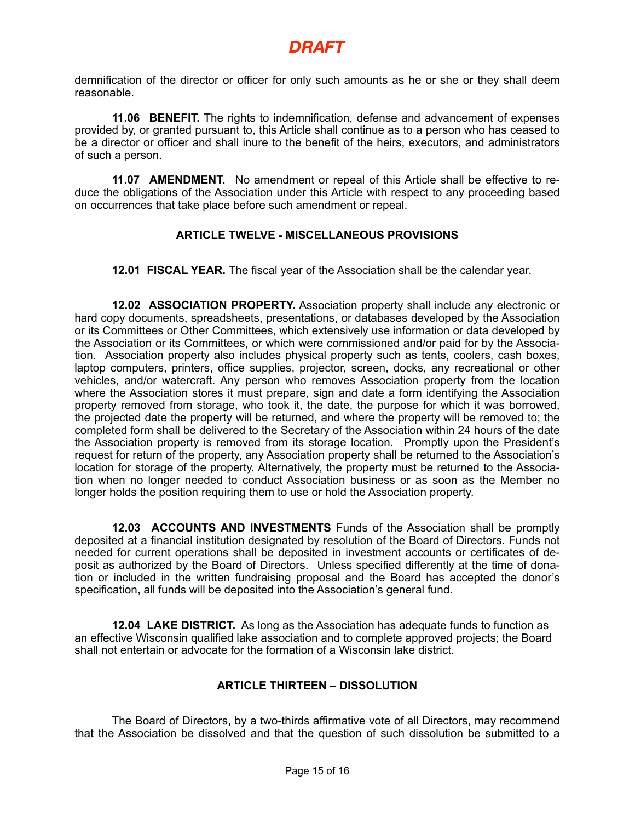demnification of the director or officer for only such amounts as he or she or they shall deem reasonable.

**11.06 BENEFIT.** The rights to indemnification, defense and advancement of expenses provided by, or granted pursuant to, this Article shall continue as to a person who has ceased to be a director or officer and shall inure to the benefit of the heirs, executors, and administrators of such a person.

**11.07 AMENDMENT.** No amendment or repeal of this Article shall be effective to reduce the obligations of the Association under this Article with respect to any proceeding based on occurrences that take place before such amendment or repeal.

### **ARTICLE TWELVE - MISCELLANEOUS PROVISIONS**

**12.01 FISCAL YEAR.** The fiscal year of the Association shall be the calendar year.

**12.02 ASSOCIATION PROPERTY.** Association property shall include any electronic or hard copy documents, spreadsheets, presentations, or databases developed by the Association or its Committees or Other Committees, which extensively use information or data developed by the Association or its Committees, or which were commissioned and/or paid for by the Association. Association property also includes physical property such as tents, coolers, cash boxes, laptop computers, printers, office supplies, projector, screen, docks, any recreational or other vehicles, and/or watercraft. Any person who removes Association property from the location where the Association stores it must prepare, sign and date a form identifying the Association property removed from storage, who took it, the date, the purpose for which it was borrowed, the projected date the property will be returned, and where the property will be removed to; the completed form shall be delivered to the Secretary of the Association within 24 hours of the date the Association property is removed from its storage location. Promptly upon the President's request for return of the property, any Association property shall be returned to the Association's location for storage of the property. Alternatively, the property must be returned to the Association when no longer needed to conduct Association business or as soon as the Member no longer holds the position requiring them to use or hold the Association property.

**12.03 ACCOUNTS AND INVESTMENTS** Funds of the Association shall be promptly deposited at a financial institution designated by resolution of the Board of Directors. Funds not needed for current operations shall be deposited in investment accounts or certificates of deposit as authorized by the Board of Directors. Unless specified differently at the time of donation or included in the written fundraising proposal and the Board has accepted the donor's specification, all funds will be deposited into the Association's general fund.

**12.04 LAKE DISTRICT.** As long as the Association has adequate funds to function as an effective Wisconsin qualified lake association and to complete approved projects; the Board shall not entertain or advocate for the formation of a Wisconsin lake district.

### **ARTICLE THIRTEEN – DISSOLUTION**

The Board of Directors, by a two-thirds affirmative vote of all Directors, may recommend that the Association be dissolved and that the question of such dissolution be submitted to a